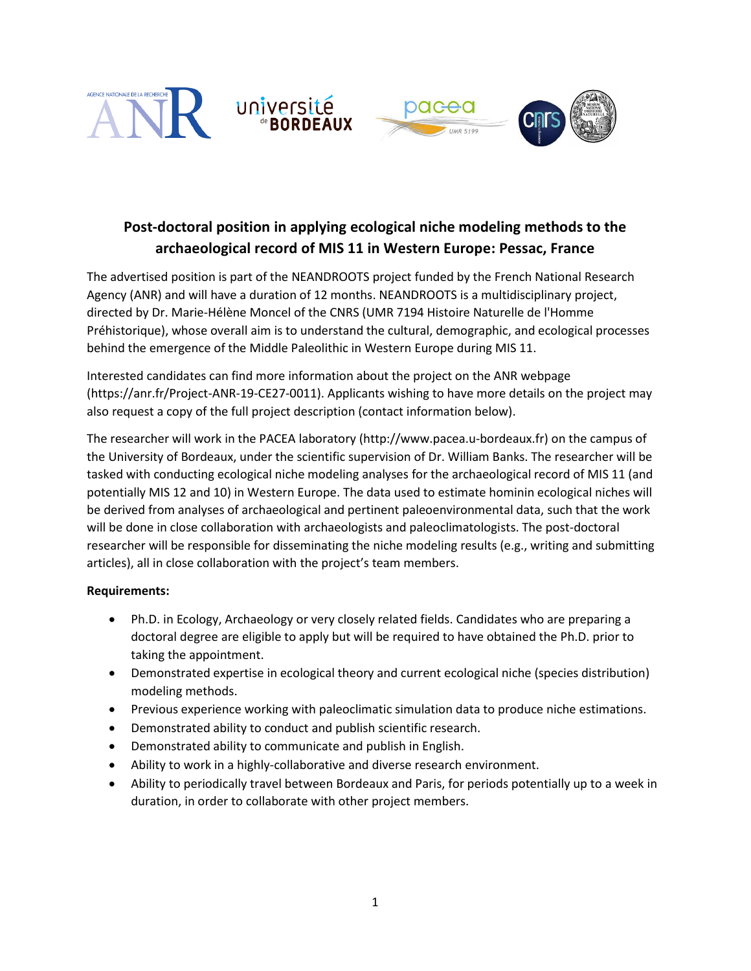



# **Post-doctoral position in applying ecological niche modeling methods to the archaeological record of MIS 11 in Western Europe: Pessac, France**

The advertised position is part of the NEANDROOTS project funded by the French National Research Agency (ANR) and will have a duration of 12 months. NEANDROOTS is a multidisciplinary project, directed by Dr. Marie-Hélène Moncel of the CNRS (UMR 7194 Histoire Naturelle de l'Homme Préhistorique), whose overall aim is to understand the cultural, demographic, and ecological processes behind the emergence of the Middle Paleolithic in Western Europe during MIS 11.

Interested candidates can find more information about the project on the ANR webpage (https://anr.fr/Project-ANR-19-CE27-0011). Applicants wishing to have more details on the project may also request a copy of the full project description (contact information below).

The researcher will work in the PACEA laboratory (http://www.pacea.u-bordeaux.fr) on the campus of the University of Bordeaux, under the scientific supervision of Dr. William Banks. The researcher will be tasked with conducting ecological niche modeling analyses for the archaeological record of MIS 11 (and potentially MIS 12 and 10) in Western Europe. The data used to estimate hominin ecological niches will be derived from analyses of archaeological and pertinent paleoenvironmental data, such that the work will be done in close collaboration with archaeologists and paleoclimatologists. The post-doctoral researcher will be responsible for disseminating the niche modeling results (e.g., writing and submitting articles), all in close collaboration with the project's team members.

#### **Requirements:**

- Ph.D. in Ecology, Archaeology or very closely related fields. Candidates who are preparing a doctoral degree are eligible to apply but will be required to have obtained the Ph.D. prior to taking the appointment.
- Demonstrated expertise in ecological theory and current ecological niche (species distribution) modeling methods.
- Previous experience working with paleoclimatic simulation data to produce niche estimations.
- Demonstrated ability to conduct and publish scientific research.
- Demonstrated ability to communicate and publish in English.
- Ability to work in a highly-collaborative and diverse research environment.
- Ability to periodically travel between Bordeaux and Paris, for periods potentially up to a week in duration, in order to collaborate with other project members.